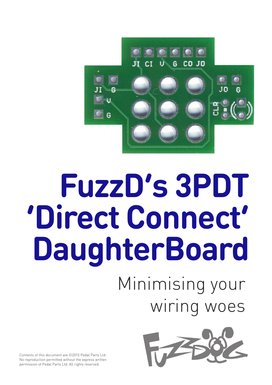

# **FuzzD's 3PDT 'Direct Connect' DaughterBoard**

## Minimising your wiring woes



Contents of this document are ©2015 Pedal Parts Ltd. No reproduction permitted without the express written permission of Pedal Parts Ltd. All rights reserved.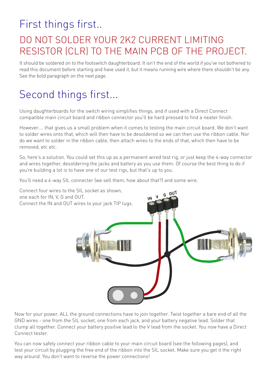#### First things first..

#### DO NOT SOLDER YOUR 2K2 CURRENT LIMITING RESISTOR (CLR) TO THE MAIN PCB OF THE PROJECT.

It should be soldered on to the footswitch daughterboard. It isn't the end of the world if you've not bothered to read this document before starting and have used it, but it means running wire where there shouldn't be any. See the bold paragraph on the next page.

#### Second things first...

Using daughterboards for the switch wiring simplifies things, and if used with a Direct Connect compatible main circuit board and ribbon connector you'll be hard pressed to find a neater finish.

However.... that gives us a small problem when it comes to testing the main circuit board. We don't want to solder wires onto that, which will then have to be desoldered so we can then use the ribbon cable. Nor do we want to solder in the ribbon cable, then attach wires to the ends of that, which then have to be removed, etc. etc.

So, here's a solution. You could set this up as a permanent wired test rig, or just keep the 4-way connector and wires together, desoldering the jacks and battery as you use them. Of course the best thing to do if you're building a lot is to have one of our test rigs, but that's up to you.

You'll need a 4-way SIL connecter (we sell them, how about that?) and some wire.



Now for your power. ALL the ground connections have to join together. Twist together a bare end of all the GND wires - one from the SIL socket, one from each jack, and your battery negative lead. Solder that clump all together. Connect your battery positive lead to the V lead from the socket. You now have a Direct Connect tester.

You can now safely connect your ribbon cable to your main circuit board (see the following pages), and test your circuit by plugging the free end of the ribbon into the SIL socket. Make sure you get it the right way around. You don't want to reverse the power connections!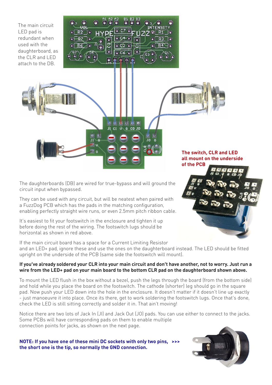The main circuit LED pad is redundant when used with the daughterboard, as the CLR and LED attach to the DB.

| A3<br><b>B3</b><br>A2<br><b>B2</b><br>R<br>Ō |
|----------------------------------------------|
| <b>INTENSITY</b><br>unı<br>ล                 |
| G                                            |
| 곱<br>î<br>R<br><b>CO</b><br>្ត្              |
| C5<br>861<br>G3<br>a                         |
| σ<br>Ξ                                       |

心内  $U$  6 CO JO

 $\overline{\mathbf{u}}$  $\overline{c}$ 

**of the PCB**

**The switch, CLR and LED all mount on the underside**

The daughterboards (DB) are wired for true-bypass and will ground the circuit input when bypassed.

They can be used with any circuit, but will be neatest when paired with a FuzzDog PCB which has the pads in the matching configuration, enabling perfectly straight wire runs, or even 2.5mm pitch ribbon cable.

It's easiest to fit your footswitch in the enclosure and tighten it up before doing the rest of the wiring. The footswitch lugs should be horizontal as shown in red above.

If the main circuit board has a space for a Current Limiting Resistor and an LED+ pad, ignore these and use the ones on the daughterboard instead. The LED should be fitted upright on the underside of the PCB (same side the footswitch will mount).

#### If you've already soldered your CLR into your main circuit and don't have another, not to worry. Just run a wire from the LED+ pad on your main board to the bottom CLR pad on the daughterboard shown above.

To mount the LED flush in the box without a bezel, push the legs through the board (from the bottom side) and hold while you place the board on the footswitch. The cathode (shorter) leg should go in the square pad. Now push your LED down into the hole in the enclosure. It doesn't matter if it doesn't line up exactly - just manoeuvre it into place. Once its there, get to work soldering the footswitch lugs. Once that's done, check the LED is still sitting correctly and solder it in. That ain't moving!

Notice there are two lots of Jack In (JI) and Jack Out (JO) pads. You can use either to connect to the jacks. Some PCBs will have corresponding pads on them to enable multiple connection points for jacks, as shown on the next page.

**NOTE: If you have one of these mini DC sockets with only two pins, >>> the short one is the tip, so normally the GND connection.**



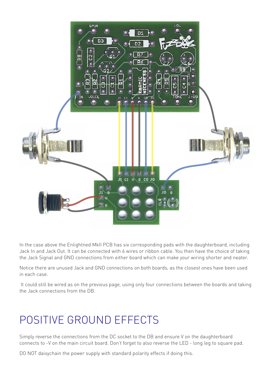

In the case above the Enlightned MkII PCB has six corresponding pads with the daughterboard, including Jack In and Jack Out. It can be connected with 6 wires or ribbon cable. You then have the choice of taking the Jack Signal and GND connections from either board which can make your wiring shorter and neater.

Notice there are unused Jack and GND connections on both boards, as the closest ones have been used in each case.

It could still be wired as on the previous page, using only four connections between the boards and taking the Jack connections from the DB.

### POSITIVE GROUND EFFECTS

Simply reverse the connections from the DC socket to the DB and ensure V on the daughterboard connects to -V on the main circuit board. Don't forget to also reverse the LED - long leg to square pad.

DO NOT daisychain the power supply with standard polarity effects if doing this.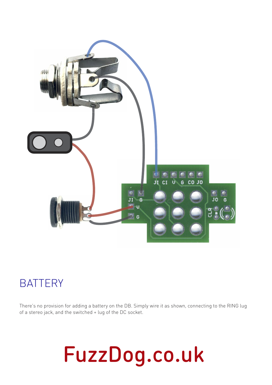

#### **BATTERY**

There's no provision for adding a battery on the DB. Simply wire it as shown, connecting to the RING lug of a stereo jack, and the switched + lug of the DC socket.

## **FuzzDog.co.uk**